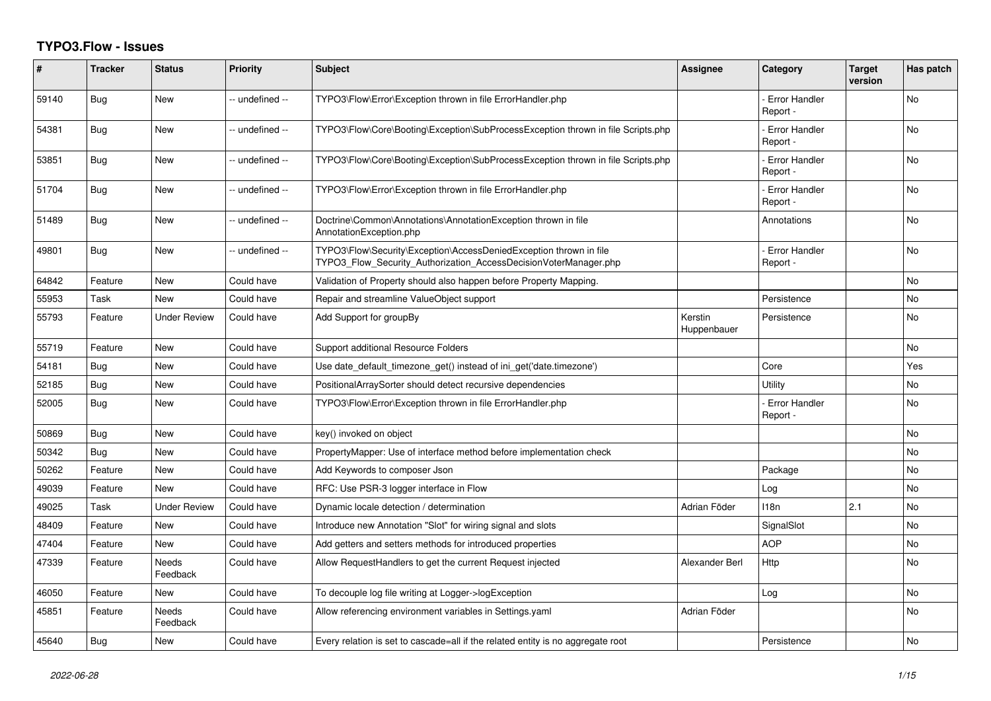## **TYPO3.Flow - Issues**

| #     | <b>Tracker</b> | <b>Status</b>            | <b>Priority</b> | <b>Subject</b>                                                                                                                         | <b>Assignee</b>        | Category                         | <b>Target</b><br>version | Has patch |
|-------|----------------|--------------------------|-----------------|----------------------------------------------------------------------------------------------------------------------------------------|------------------------|----------------------------------|--------------------------|-----------|
| 59140 | Bug            | <b>New</b>               | -- undefined -- | TYPO3\Flow\Error\Exception thrown in file ErrorHandler.php                                                                             |                        | Error Handler<br>Report -        |                          | <b>No</b> |
| 54381 | Bug            | <b>New</b>               | -- undefined -- | TYPO3\Flow\Core\Booting\Exception\SubProcessException thrown in file Scripts.php                                                       |                        | <b>Error Handler</b><br>Report - |                          | <b>No</b> |
| 53851 | Bug            | <b>New</b>               | -- undefined -- | TYPO3\Flow\Core\Booting\Exception\SubProcessException thrown in file Scripts.php                                                       |                        | <b>Error Handler</b><br>Report - |                          | <b>No</b> |
| 51704 | <b>Bug</b>     | <b>New</b>               | -- undefined -- | TYPO3\Flow\Error\Exception thrown in file ErrorHandler.php                                                                             |                        | <b>Error Handler</b><br>Report - |                          | <b>No</b> |
| 51489 | Bug            | New                      | -- undefined -- | Doctrine\Common\Annotations\AnnotationException thrown in file<br>AnnotationException.php                                              |                        | Annotations                      |                          | No        |
| 49801 | Bug            | New                      | -- undefined -- | TYPO3\Flow\Security\Exception\AccessDeniedException thrown in file<br>TYPO3 Flow Security Authorization AccessDecisionVoterManager.php |                        | <b>Error Handler</b><br>Report - |                          | <b>No</b> |
| 64842 | Feature        | <b>New</b>               | Could have      | Validation of Property should also happen before Property Mapping.                                                                     |                        |                                  |                          | <b>No</b> |
| 55953 | Task           | New                      | Could have      | Repair and streamline ValueObject support                                                                                              |                        | Persistence                      |                          | No        |
| 55793 | Feature        | <b>Under Review</b>      | Could have      | Add Support for groupBy                                                                                                                | Kerstin<br>Huppenbauer | Persistence                      |                          | No        |
| 55719 | Feature        | <b>New</b>               | Could have      | Support additional Resource Folders                                                                                                    |                        |                                  |                          | No        |
| 54181 | Bug            | <b>New</b>               | Could have      | Use date_default_timezone_get() instead of ini_get('date.timezone')                                                                    |                        | Core                             |                          | Yes       |
| 52185 | Bug            | New                      | Could have      | PositionalArraySorter should detect recursive dependencies                                                                             |                        | Utility                          |                          | No        |
| 52005 | Bug            | New                      | Could have      | TYPO3\Flow\Error\Exception thrown in file ErrorHandler.php                                                                             |                        | <b>Error Handler</b><br>Report - |                          | No        |
| 50869 | Bug            | <b>New</b>               | Could have      | key() invoked on object                                                                                                                |                        |                                  |                          | <b>No</b> |
| 50342 | Bug            | <b>New</b>               | Could have      | PropertyMapper: Use of interface method before implementation check                                                                    |                        |                                  |                          | <b>No</b> |
| 50262 | Feature        | New                      | Could have      | Add Keywords to composer Json                                                                                                          |                        | Package                          |                          | No        |
| 49039 | Feature        | <b>New</b>               | Could have      | RFC: Use PSR-3 logger interface in Flow                                                                                                |                        | Log                              |                          | No        |
| 49025 | Task           | Under Review             | Could have      | Dynamic locale detection / determination                                                                                               | Adrian Föder           | 118n                             | 2.1                      | No        |
| 48409 | Feature        | New                      | Could have      | Introduce new Annotation "Slot" for wiring signal and slots                                                                            |                        | SignalSlot                       |                          | <b>No</b> |
| 47404 | Feature        | New                      | Could have      | Add getters and setters methods for introduced properties                                                                              |                        | <b>AOP</b>                       |                          | No        |
| 47339 | Feature        | <b>Needs</b><br>Feedback | Could have      | Allow RequestHandlers to get the current Request injected                                                                              | Alexander Berl         | Http                             |                          | No        |
| 46050 | Feature        | <b>New</b>               | Could have      | To decouple log file writing at Logger->logException                                                                                   |                        | Log                              |                          | <b>No</b> |
| 45851 | Feature        | <b>Needs</b><br>Feedback | Could have      | Allow referencing environment variables in Settings.yaml                                                                               | Adrian Föder           |                                  |                          | <b>No</b> |
| 45640 | Bug            | New                      | Could have      | Every relation is set to cascade=all if the related entity is no aggregate root                                                        |                        | Persistence                      |                          | No        |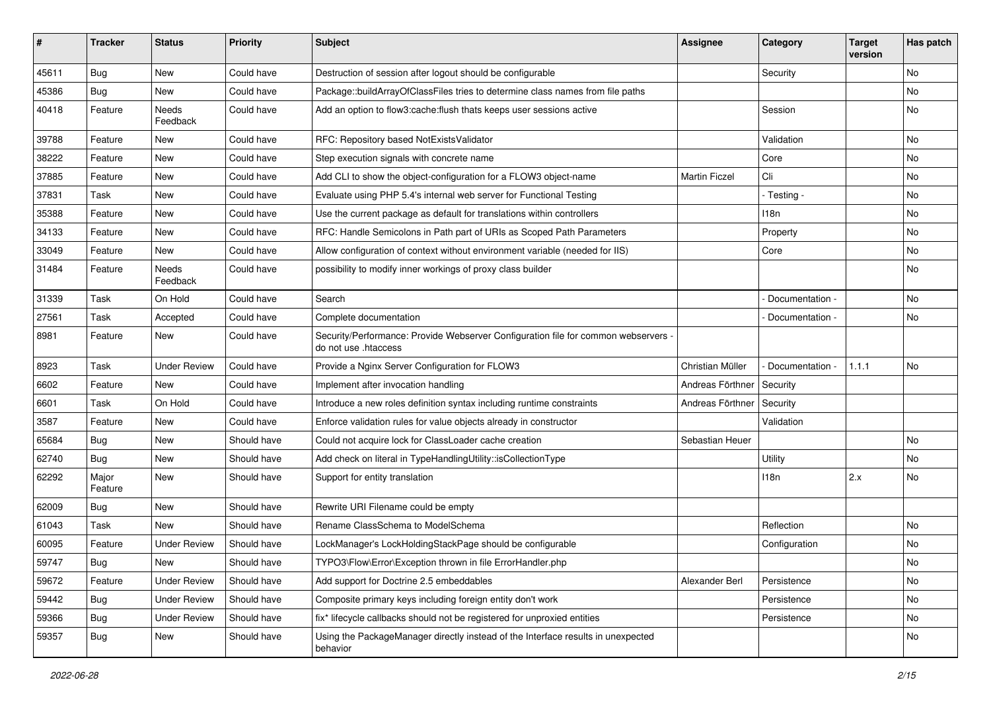| #     | <b>Tracker</b>   | <b>Status</b>       | <b>Priority</b> | <b>Subject</b>                                                                                             | <b>Assignee</b>      | Category        | <b>Target</b><br>version | Has patch |
|-------|------------------|---------------------|-----------------|------------------------------------------------------------------------------------------------------------|----------------------|-----------------|--------------------------|-----------|
| 45611 | Bug              | New                 | Could have      | Destruction of session after logout should be configurable                                                 |                      | Security        |                          | No        |
| 45386 | <b>Bug</b>       | New                 | Could have      | Package::buildArrayOfClassFiles tries to determine class names from file paths                             |                      |                 |                          | No        |
| 40418 | Feature          | Needs<br>Feedback   | Could have      | Add an option to flow3:cache: flush thats keeps user sessions active                                       |                      | Session         |                          | No        |
| 39788 | Feature          | New                 | Could have      | RFC: Repository based NotExistsValidator                                                                   |                      | Validation      |                          | No        |
| 38222 | Feature          | New                 | Could have      | Step execution signals with concrete name                                                                  |                      | Core            |                          | <b>No</b> |
| 37885 | Feature          | New                 | Could have      | Add CLI to show the object-configuration for a FLOW3 object-name                                           | <b>Martin Ficzel</b> | Cli             |                          | No        |
| 37831 | Task             | New                 | Could have      | Evaluate using PHP 5.4's internal web server for Functional Testing                                        |                      | - Testing -     |                          | No        |
| 35388 | Feature          | New                 | Could have      | Use the current package as default for translations within controllers                                     |                      | 118n            |                          | No        |
| 34133 | Feature          | New                 | Could have      | RFC: Handle Semicolons in Path part of URIs as Scoped Path Parameters                                      |                      | Property        |                          | No        |
| 33049 | Feature          | New                 | Could have      | Allow configuration of context without environment variable (needed for IIS)                               |                      | Core            |                          | No        |
| 31484 | Feature          | Needs<br>Feedback   | Could have      | possibility to modify inner workings of proxy class builder                                                |                      |                 |                          | No        |
| 31339 | Task             | On Hold             | Could have      | Search                                                                                                     |                      | Documentation - |                          | <b>No</b> |
| 27561 | Task             | Accepted            | Could have      | Complete documentation                                                                                     |                      | Documentation - |                          | No        |
| 8981  | Feature          | New                 | Could have      | Security/Performance: Provide Webserver Configuration file for common webservers -<br>do not use .htaccess |                      |                 |                          |           |
| 8923  | Task             | <b>Under Review</b> | Could have      | Provide a Nginx Server Configuration for FLOW3                                                             | Christian Müller     | Documentation - | 1.1.1                    | No        |
| 6602  | Feature          | New                 | Could have      | Implement after invocation handling                                                                        | Andreas Förthner     | Security        |                          |           |
| 6601  | Task             | On Hold             | Could have      | Introduce a new roles definition syntax including runtime constraints                                      | Andreas Förthner     | Security        |                          |           |
| 3587  | Feature          | New                 | Could have      | Enforce validation rules for value objects already in constructor                                          |                      | Validation      |                          |           |
| 65684 | Bug              | New                 | Should have     | Could not acquire lock for ClassLoader cache creation                                                      | Sebastian Heuer      |                 |                          | No        |
| 62740 | <b>Bug</b>       | New                 | Should have     | Add check on literal in TypeHandlingUtility::isCollectionType                                              |                      | Utility         |                          | No        |
| 62292 | Major<br>Feature | New                 | Should have     | Support for entity translation                                                                             |                      | 118n            | 2.x                      | No        |
| 62009 | Bug              | New                 | Should have     | Rewrite URI Filename could be empty                                                                        |                      |                 |                          |           |
| 61043 | Task             | New                 | Should have     | Rename ClassSchema to ModelSchema                                                                          |                      | Reflection      |                          | <b>No</b> |
| 60095 | Feature          | <b>Under Review</b> | Should have     | LockManager's LockHoldingStackPage should be configurable                                                  |                      | Configuration   |                          | No        |
| 59747 | Bug              | New                 | Should have     | TYPO3\Flow\Error\Exception thrown in file ErrorHandler.php                                                 |                      |                 |                          | N0        |
| 59672 | Feature          | <b>Under Review</b> | Should have     | Add support for Doctrine 2.5 embeddables                                                                   | Alexander Berl       | Persistence     |                          | No        |
| 59442 | <b>Bug</b>       | <b>Under Review</b> | Should have     | Composite primary keys including foreign entity don't work                                                 |                      | Persistence     |                          | No        |
| 59366 | <b>Bug</b>       | <b>Under Review</b> | Should have     | fix* lifecycle callbacks should not be registered for unproxied entities                                   |                      | Persistence     |                          | No        |
| 59357 | Bug              | New                 | Should have     | Using the PackageManager directly instead of the Interface results in unexpected<br>behavior               |                      |                 |                          | No        |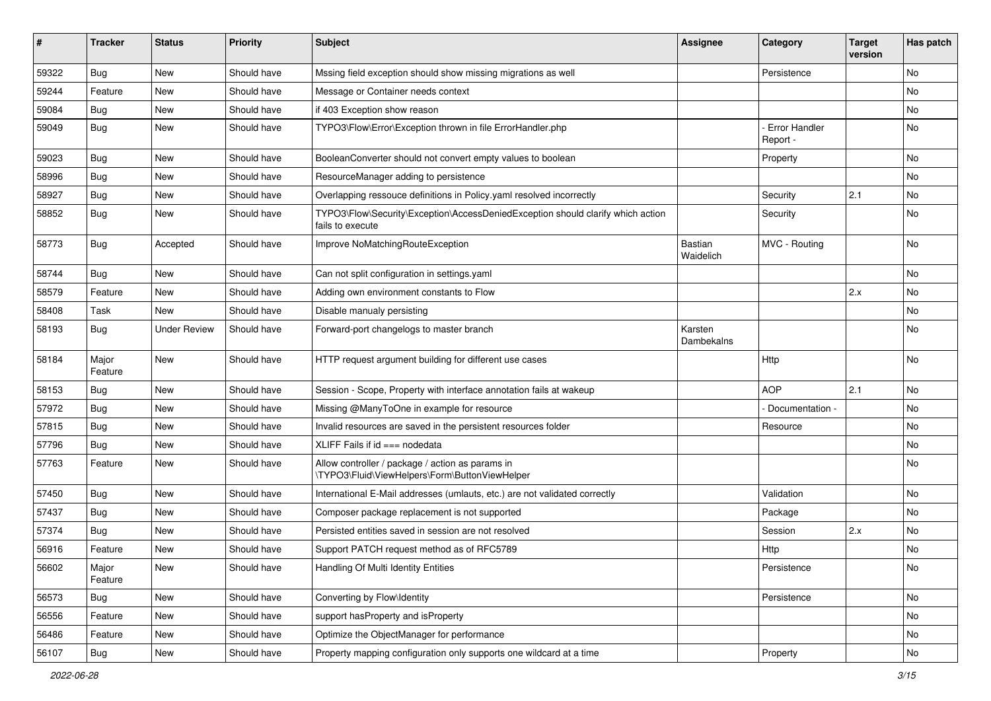| ∦     | <b>Tracker</b>   | <b>Status</b>       | <b>Priority</b> | <b>Subject</b>                                                                                      | Assignee                    | Category                  | <b>Target</b><br>version | Has patch |
|-------|------------------|---------------------|-----------------|-----------------------------------------------------------------------------------------------------|-----------------------------|---------------------------|--------------------------|-----------|
| 59322 | Bug              | New                 | Should have     | Mssing field exception should show missing migrations as well                                       |                             | Persistence               |                          | No        |
| 59244 | Feature          | New                 | Should have     | Message or Container needs context                                                                  |                             |                           |                          | No        |
| 59084 | Bug              | New                 | Should have     | if 403 Exception show reason                                                                        |                             |                           |                          | No        |
| 59049 | Bug              | New                 | Should have     | TYPO3\Flow\Error\Exception thrown in file ErrorHandler.php                                          |                             | Error Handler<br>Report - |                          | No        |
| 59023 | Bug              | <b>New</b>          | Should have     | BooleanConverter should not convert empty values to boolean                                         |                             | Property                  |                          | No        |
| 58996 | Bug              | New                 | Should have     | ResourceManager adding to persistence                                                               |                             |                           |                          | No        |
| 58927 | <b>Bug</b>       | New                 | Should have     | Overlapping ressouce definitions in Policy.yaml resolved incorrectly                                |                             | Security                  | 2.1                      | No        |
| 58852 | Bug              | New                 | Should have     | TYPO3\Flow\Security\Exception\AccessDeniedException should clarify which action<br>fails to execute |                             | Security                  |                          | No        |
| 58773 | <b>Bug</b>       | Accepted            | Should have     | Improve NoMatchingRouteException                                                                    | <b>Bastian</b><br>Waidelich | MVC - Routing             |                          | No        |
| 58744 | Bug              | New                 | Should have     | Can not split configuration in settings.yaml                                                        |                             |                           |                          | No        |
| 58579 | Feature          | <b>New</b>          | Should have     | Adding own environment constants to Flow                                                            |                             |                           | 2.x                      | No        |
| 58408 | Task             | New                 | Should have     | Disable manualy persisting                                                                          |                             |                           |                          | No        |
| 58193 | Bug              | <b>Under Review</b> | Should have     | Forward-port changelogs to master branch                                                            | Karsten<br>Dambekalns       |                           |                          | No        |
| 58184 | Major<br>Feature | New                 | Should have     | HTTP request argument building for different use cases                                              |                             | Http                      |                          | No        |
| 58153 | Bug              | <b>New</b>          | Should have     | Session - Scope, Property with interface annotation fails at wakeup                                 |                             | <b>AOP</b>                | 2.1                      | <b>No</b> |
| 57972 | <b>Bug</b>       | New                 | Should have     | Missing @ManyToOne in example for resource                                                          |                             | Documentation -           |                          | No        |
| 57815 | Bug              | New                 | Should have     | Invalid resources are saved in the persistent resources folder                                      |                             | Resource                  |                          | No        |
| 57796 | Bug              | New                 | Should have     | XLIFF Fails if $id == node data$                                                                    |                             |                           |                          | No        |
| 57763 | Feature          | New                 | Should have     | Allow controller / package / action as params in<br>\TYPO3\Fluid\ViewHelpers\Form\ButtonViewHelper  |                             |                           |                          | No        |
| 57450 | Bug              | New                 | Should have     | International E-Mail addresses (umlauts, etc.) are not validated correctly                          |                             | Validation                |                          | No        |
| 57437 | Bug              | New                 | Should have     | Composer package replacement is not supported                                                       |                             | Package                   |                          | No        |
| 57374 | Bug              | New                 | Should have     | Persisted entities saved in session are not resolved                                                |                             | Session                   | 2.x                      | No        |
| 56916 | Feature          | New                 | Should have     | Support PATCH request method as of RFC5789                                                          |                             | <b>Http</b>               |                          | No        |
| 56602 | Major<br>Feature | New                 | Should have     | Handling Of Multi Identity Entities                                                                 |                             | Persistence               |                          | No        |
| 56573 | <b>Bug</b>       | New                 | Should have     | Converting by Flow\Identity                                                                         |                             | Persistence               |                          | No        |
| 56556 | Feature          | New                 | Should have     | support hasProperty and isProperty                                                                  |                             |                           |                          | No        |
| 56486 | Feature          | New                 | Should have     | Optimize the ObjectManager for performance                                                          |                             |                           |                          | No        |
| 56107 | Bug              | New                 | Should have     | Property mapping configuration only supports one wildcard at a time                                 |                             | Property                  |                          | No        |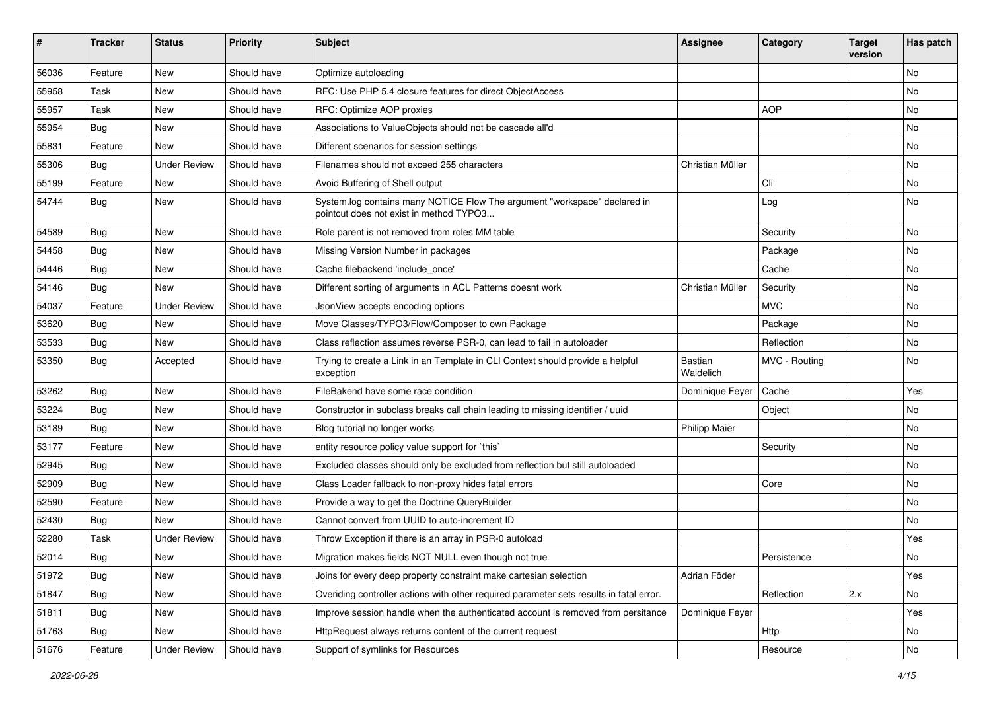| #     | <b>Tracker</b>   | <b>Status</b>       | <b>Priority</b> | <b>Subject</b>                                                                                                       | <b>Assignee</b>      | Category      | <b>Target</b><br>version | Has patch |
|-------|------------------|---------------------|-----------------|----------------------------------------------------------------------------------------------------------------------|----------------------|---------------|--------------------------|-----------|
| 56036 | Feature          | <b>New</b>          | Should have     | Optimize autoloading                                                                                                 |                      |               |                          | No        |
| 55958 | Task             | New                 | Should have     | RFC: Use PHP 5.4 closure features for direct ObjectAccess                                                            |                      |               |                          | No        |
| 55957 | Task             | New                 | Should have     | RFC: Optimize AOP proxies                                                                                            |                      | <b>AOP</b>    |                          | No        |
| 55954 | Bug              | New                 | Should have     | Associations to ValueObjects should not be cascade all'd                                                             |                      |               |                          | No        |
| 55831 | Feature          | New                 | Should have     | Different scenarios for session settings                                                                             |                      |               |                          | No        |
| 55306 | Bug              | <b>Under Review</b> | Should have     | Filenames should not exceed 255 characters                                                                           | Christian Müller     |               |                          | No        |
| 55199 | Feature          | New                 | Should have     | Avoid Buffering of Shell output                                                                                      |                      | Cli           |                          | No        |
| 54744 | Bug              | New                 | Should have     | System.log contains many NOTICE Flow The argument "workspace" declared in<br>pointcut does not exist in method TYPO3 |                      | Log           |                          | No        |
| 54589 | Bug              | New                 | Should have     | Role parent is not removed from roles MM table                                                                       |                      | Security      |                          | <b>No</b> |
| 54458 | Bug              | New                 | Should have     | Missing Version Number in packages                                                                                   |                      | Package       |                          | <b>No</b> |
| 54446 | Bug              | New                 | Should have     | Cache filebackend 'include once'                                                                                     |                      | Cache         |                          | No        |
| 54146 | Bug              | New                 | Should have     | Different sorting of arguments in ACL Patterns doesnt work                                                           | Christian Müller     | Security      |                          | No        |
| 54037 | Feature          | <b>Under Review</b> | Should have     | JsonView accepts encoding options                                                                                    |                      | <b>MVC</b>    |                          | No        |
| 53620 | Bug              | New                 | Should have     | Move Classes/TYPO3/Flow/Composer to own Package                                                                      |                      | Package       |                          | No        |
| 53533 | Bug              | New                 | Should have     | Class reflection assumes reverse PSR-0, can lead to fail in autoloader                                               |                      | Reflection    |                          | No        |
| 53350 | Bug              | Accepted            | Should have     | Trying to create a Link in an Template in CLI Context should provide a helpful<br>exception                          | Bastian<br>Waidelich | MVC - Routing |                          | No        |
| 53262 | Bug              | <b>New</b>          | Should have     | FileBakend have some race condition                                                                                  | Dominique Feyer      | Cache         |                          | Yes       |
| 53224 | Bug              | New                 | Should have     | Constructor in subclass breaks call chain leading to missing identifier / uuid                                       |                      | Object        |                          | No        |
| 53189 | Bug              | <b>New</b>          | Should have     | Blog tutorial no longer works                                                                                        | <b>Philipp Maier</b> |               |                          | No        |
| 53177 | Feature          | <b>New</b>          | Should have     | entity resource policy value support for `this`                                                                      |                      | Security      |                          | No        |
| 52945 | Bug              | New                 | Should have     | Excluded classes should only be excluded from reflection but still autoloaded                                        |                      |               |                          | No        |
| 52909 | <b>Bug</b>       | New                 | Should have     | Class Loader fallback to non-proxy hides fatal errors                                                                |                      | Core          |                          | No        |
| 52590 | Feature          | New                 | Should have     | Provide a way to get the Doctrine QueryBuilder                                                                       |                      |               |                          | No        |
| 52430 | Bug              | New                 | Should have     | Cannot convert from UUID to auto-increment ID                                                                        |                      |               |                          | No        |
| 52280 | Task             | <b>Under Review</b> | Should have     | Throw Exception if there is an array in PSR-0 autoload                                                               |                      |               |                          | Yes       |
| 52014 | <sub>i</sub> Bug | New                 | Should have     | Migration makes fields NOT NULL even though not true                                                                 |                      | Persistence   |                          | No        |
| 51972 | <b>Bug</b>       | New                 | Should have     | Joins for every deep property constraint make cartesian selection                                                    | Adrian Föder         |               |                          | Yes       |
| 51847 | Bug              | New                 | Should have     | Overiding controller actions with other required parameter sets results in fatal error.                              |                      | Reflection    | 2.x                      | No        |
| 51811 | Bug              | New                 | Should have     | Improve session handle when the authenticated account is removed from persitance                                     | Dominique Feyer      |               |                          | Yes       |
| 51763 | Bug              | New                 | Should have     | HttpRequest always returns content of the current request                                                            |                      | Http          |                          | No        |
| 51676 | Feature          | <b>Under Review</b> | Should have     | Support of symlinks for Resources                                                                                    |                      | Resource      |                          | No        |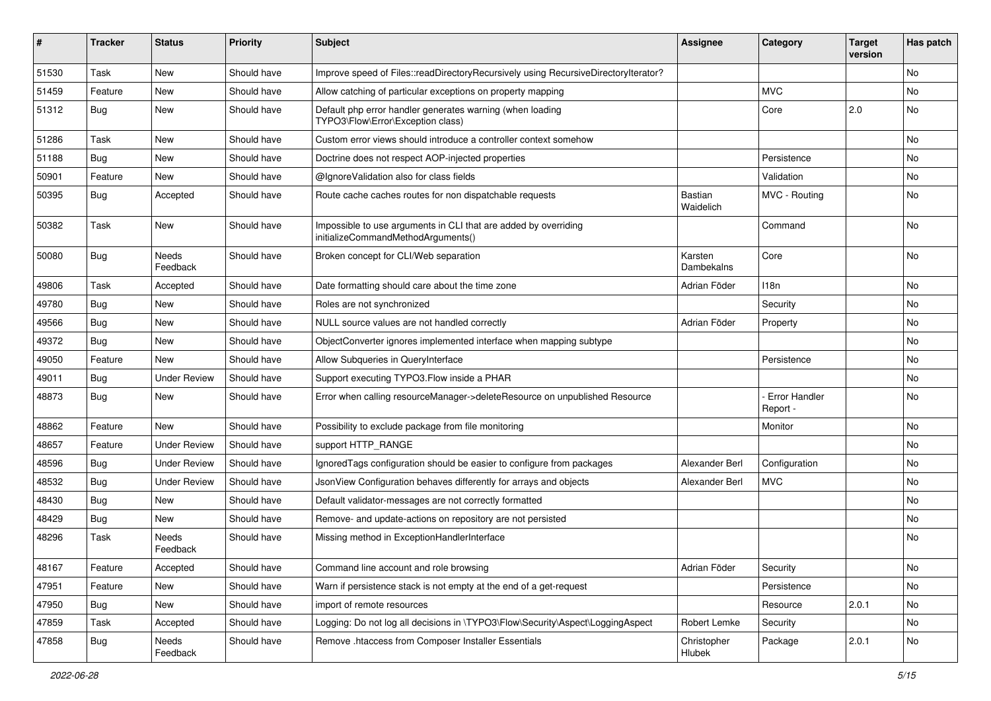| ∦     | <b>Tracker</b> | <b>Status</b>       | <b>Priority</b> | <b>Subject</b>                                                                                        | <b>Assignee</b>              | Category                         | <b>Target</b><br>version | Has patch |
|-------|----------------|---------------------|-----------------|-------------------------------------------------------------------------------------------------------|------------------------------|----------------------------------|--------------------------|-----------|
| 51530 | Task           | New                 | Should have     | Improve speed of Files::readDirectoryRecursively using RecursiveDirectoryIterator?                    |                              |                                  |                          | <b>No</b> |
| 51459 | Feature        | New                 | Should have     | Allow catching of particular exceptions on property mapping                                           |                              | <b>MVC</b>                       |                          | No        |
| 51312 | <b>Bug</b>     | New                 | Should have     | Default php error handler generates warning (when loading<br>TYPO3\Flow\Error\Exception class)        |                              | Core                             | 2.0                      | No        |
| 51286 | Task           | <b>New</b>          | Should have     | Custom error views should introduce a controller context somehow                                      |                              |                                  |                          | <b>No</b> |
| 51188 | Bug            | <b>New</b>          | Should have     | Doctrine does not respect AOP-injected properties                                                     |                              | Persistence                      |                          | No        |
| 50901 | Feature        | New                 | Should have     | @IgnoreValidation also for class fields                                                               |                              | Validation                       |                          | No        |
| 50395 | <b>Bug</b>     | Accepted            | Should have     | Route cache caches routes for non dispatchable requests                                               | Bastian<br>Waidelich         | MVC - Routing                    |                          | No        |
| 50382 | Task           | <b>New</b>          | Should have     | Impossible to use arguments in CLI that are added by overriding<br>initializeCommandMethodArguments() |                              | Command                          |                          | No        |
| 50080 | Bug            | Needs<br>Feedback   | Should have     | Broken concept for CLI/Web separation                                                                 | Karsten<br><b>Dambekalns</b> | Core                             |                          | No        |
| 49806 | Task           | Accepted            | Should have     | Date formatting should care about the time zone                                                       | Adrian Föder                 | 118 <sub>n</sub>                 |                          | No        |
| 49780 | Bug            | <b>New</b>          | Should have     | Roles are not synchronized                                                                            |                              | Security                         |                          | No        |
| 49566 | <b>Bug</b>     | New                 | Should have     | NULL source values are not handled correctly                                                          | Adrian Föder                 | Property                         |                          | No        |
| 49372 | Bug            | <b>New</b>          | Should have     | ObjectConverter ignores implemented interface when mapping subtype                                    |                              |                                  |                          | No        |
| 49050 | Feature        | New                 | Should have     | Allow Subqueries in QueryInterface                                                                    |                              | Persistence                      |                          | No        |
| 49011 | Bug            | <b>Under Review</b> | Should have     | Support executing TYPO3. Flow inside a PHAR                                                           |                              |                                  |                          | No        |
| 48873 | Bug            | <b>New</b>          | Should have     | Error when calling resourceManager->deleteResource on unpublished Resource                            |                              | <b>Error Handler</b><br>Report - |                          | No        |
| 48862 | Feature        | New                 | Should have     | Possibility to exclude package from file monitoring                                                   |                              | Monitor                          |                          | No        |
| 48657 | Feature        | <b>Under Review</b> | Should have     | support HTTP_RANGE                                                                                    |                              |                                  |                          | No        |
| 48596 | Bug            | <b>Under Review</b> | Should have     | IgnoredTags configuration should be easier to configure from packages                                 | Alexander Berl               | Configuration                    |                          | No        |
| 48532 | Bug            | <b>Under Review</b> | Should have     | JsonView Configuration behaves differently for arrays and objects                                     | Alexander Berl               | <b>MVC</b>                       |                          | No        |
| 48430 | <b>Bug</b>     | <b>New</b>          | Should have     | Default validator-messages are not correctly formatted                                                |                              |                                  |                          | No        |
| 48429 | <b>Bug</b>     | New                 | Should have     | Remove- and update-actions on repository are not persisted                                            |                              |                                  |                          | No        |
| 48296 | Task           | Needs<br>Feedback   | Should have     | Missing method in ExceptionHandlerInterface                                                           |                              |                                  |                          | No        |
| 48167 | Feature        | Accepted            | Should have     | Command line account and role browsing                                                                | Adrian Föder                 | Security                         |                          | No        |
| 47951 | Feature        | New                 | Should have     | Warn if persistence stack is not empty at the end of a get-request                                    |                              | Persistence                      |                          | No        |
| 47950 | Bug            | New                 | Should have     | import of remote resources                                                                            |                              | Resource                         | 2.0.1                    | No        |
| 47859 | Task           | Accepted            | Should have     | Logging: Do not log all decisions in \TYPO3\Flow\Security\Aspect\LoggingAspect                        | Robert Lemke                 | Security                         |                          | No        |
| 47858 | <b>Bug</b>     | Needs<br>Feedback   | Should have     | Remove .htaccess from Composer Installer Essentials                                                   | Christopher<br>Hlubek        | Package                          | 2.0.1                    | No        |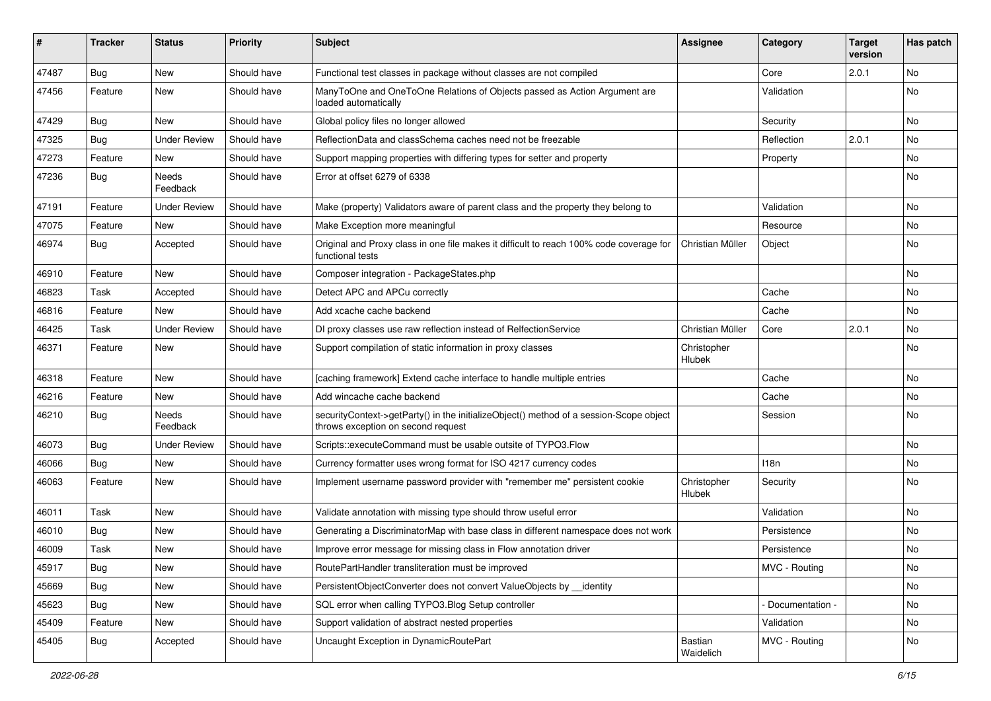| ∦     | <b>Tracker</b> | <b>Status</b>       | <b>Priority</b> | <b>Subject</b>                                                                                                               | <b>Assignee</b>       | Category         | <b>Target</b><br>version | Has patch |
|-------|----------------|---------------------|-----------------|------------------------------------------------------------------------------------------------------------------------------|-----------------------|------------------|--------------------------|-----------|
| 47487 | Bug            | New                 | Should have     | Functional test classes in package without classes are not compiled                                                          |                       | Core             | 2.0.1                    | No        |
| 47456 | Feature        | New                 | Should have     | ManyToOne and OneToOne Relations of Objects passed as Action Argument are<br>loaded automatically                            |                       | Validation       |                          | No        |
| 47429 | Bug            | <b>New</b>          | Should have     | Global policy files no longer allowed                                                                                        |                       | Security         |                          | No        |
| 47325 | Bug            | <b>Under Review</b> | Should have     | ReflectionData and classSchema caches need not be freezable                                                                  |                       | Reflection       | 2.0.1                    | <b>No</b> |
| 47273 | Feature        | <b>New</b>          | Should have     | Support mapping properties with differing types for setter and property                                                      |                       | Property         |                          | <b>No</b> |
| 47236 | Bug            | Needs<br>Feedback   | Should have     | Error at offset 6279 of 6338                                                                                                 |                       |                  |                          | No        |
| 47191 | Feature        | <b>Under Review</b> | Should have     | Make (property) Validators aware of parent class and the property they belong to                                             |                       | Validation       |                          | <b>No</b> |
| 47075 | Feature        | New                 | Should have     | Make Exception more meaningful                                                                                               |                       | Resource         |                          | No        |
| 46974 | <b>Bug</b>     | Accepted            | Should have     | Original and Proxy class in one file makes it difficult to reach 100% code coverage for<br>functional tests                  | Christian Müller      | Object           |                          | No        |
| 46910 | Feature        | <b>New</b>          | Should have     | Composer integration - PackageStates.php                                                                                     |                       |                  |                          | <b>No</b> |
| 46823 | Task           | Accepted            | Should have     | Detect APC and APCu correctly                                                                                                |                       | Cache            |                          | No        |
| 46816 | Feature        | <b>New</b>          | Should have     | Add xcache cache backend                                                                                                     |                       | Cache            |                          | No        |
| 46425 | Task           | <b>Under Review</b> | Should have     | DI proxy classes use raw reflection instead of RelfectionService                                                             | Christian Müller      | Core             | 2.0.1                    | No        |
| 46371 | Feature        | New                 | Should have     | Support compilation of static information in proxy classes                                                                   | Christopher<br>Hlubek |                  |                          | No        |
| 46318 | Feature        | New                 | Should have     | [caching framework] Extend cache interface to handle multiple entries                                                        |                       | Cache            |                          | <b>No</b> |
| 46216 | Feature        | <b>New</b>          | Should have     | Add wincache cache backend                                                                                                   |                       | Cache            |                          | No        |
| 46210 | <b>Bug</b>     | Needs<br>Feedback   | Should have     | securityContext->getParty() in the initializeObject() method of a session-Scope object<br>throws exception on second request |                       | Session          |                          | No        |
| 46073 | Bug            | <b>Under Review</b> | Should have     | Scripts::executeCommand must be usable outsite of TYPO3.Flow                                                                 |                       |                  |                          | No        |
| 46066 | <b>Bug</b>     | <b>New</b>          | Should have     | Currency formatter uses wrong format for ISO 4217 currency codes                                                             |                       | 118 <sub>n</sub> |                          | No        |
| 46063 | Feature        | New                 | Should have     | Implement username password provider with "remember me" persistent cookie                                                    | Christopher<br>Hlubek | Security         |                          | No        |
| 46011 | Task           | <b>New</b>          | Should have     | Validate annotation with missing type should throw useful error                                                              |                       | Validation       |                          | <b>No</b> |
| 46010 | Bug            | New                 | Should have     | Generating a DiscriminatorMap with base class in different namespace does not work                                           |                       | Persistence      |                          | No        |
| 46009 | Task           | New                 | Should have     | Improve error message for missing class in Flow annotation driver                                                            |                       | Persistence      |                          | No        |
| 45917 | i Bug          | New                 | Should have     | RoutePartHandler transliteration must be improved                                                                            |                       | MVC - Routing    |                          | No        |
| 45669 | <b>Bug</b>     | New                 | Should have     | PersistentObjectConverter does not convert ValueObjects by __ identity                                                       |                       |                  |                          | No        |
| 45623 | Bug            | New                 | Should have     | SQL error when calling TYPO3.Blog Setup controller                                                                           |                       | Documentation -  |                          | No        |
| 45409 | Feature        | New                 | Should have     | Support validation of abstract nested properties                                                                             |                       | Validation       |                          | No        |
| 45405 | <b>Bug</b>     | Accepted            | Should have     | Uncaught Exception in DynamicRoutePart                                                                                       | Bastian<br>Waidelich  | MVC - Routing    |                          | No        |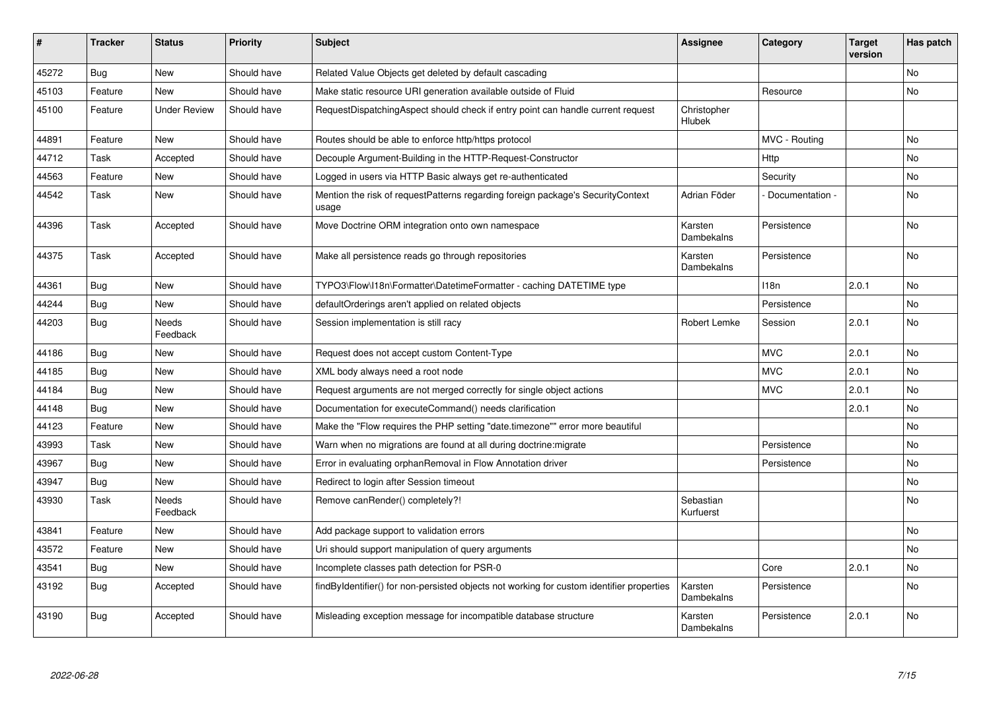| #     | <b>Tracker</b> | <b>Status</b>            | <b>Priority</b> | <b>Subject</b>                                                                             | <b>Assignee</b>        | Category         | <b>Target</b><br>version | Has patch      |
|-------|----------------|--------------------------|-----------------|--------------------------------------------------------------------------------------------|------------------------|------------------|--------------------------|----------------|
| 45272 | <b>Bug</b>     | <b>New</b>               | Should have     | Related Value Objects get deleted by default cascading                                     |                        |                  |                          | No             |
| 45103 | Feature        | New                      | Should have     | Make static resource URI generation available outside of Fluid                             |                        | Resource         |                          | No             |
| 45100 | Feature        | <b>Under Review</b>      | Should have     | RequestDispatchingAspect should check if entry point can handle current request            | Christopher<br>Hlubek  |                  |                          |                |
| 44891 | Feature        | <b>New</b>               | Should have     | Routes should be able to enforce http/https protocol                                       |                        | MVC - Routing    |                          | No             |
| 44712 | Task           | Accepted                 | Should have     | Decouple Argument-Building in the HTTP-Request-Constructor                                 |                        | Http             |                          | N <sub>o</sub> |
| 44563 | Feature        | <b>New</b>               | Should have     | Logged in users via HTTP Basic always get re-authenticated                                 |                        | Security         |                          | No             |
| 44542 | Task           | New                      | Should have     | Mention the risk of request Patterns regarding foreign package's Security Context<br>usage | Adrian Föder           | Documentation -  |                          | No             |
| 44396 | Task           | Accepted                 | Should have     | Move Doctrine ORM integration onto own namespace                                           | Karsten<br>Dambekalns  | Persistence      |                          | <b>No</b>      |
| 44375 | Task           | Accepted                 | Should have     | Make all persistence reads go through repositories                                         | Karsten<br>Dambekalns  | Persistence      |                          | <b>No</b>      |
| 44361 | Bug            | <b>New</b>               | Should have     | TYPO3\Flow\I18n\Formatter\DatetimeFormatter - caching DATETIME type                        |                        | 118 <sub>n</sub> | 2.0.1                    | No.            |
| 44244 | <b>Bug</b>     | <b>New</b>               | Should have     | defaultOrderings aren't applied on related objects                                         |                        | Persistence      |                          | <b>No</b>      |
| 44203 | <b>Bug</b>     | Needs<br>Feedback        | Should have     | Session implementation is still racy                                                       | Robert Lemke           | Session          | 2.0.1                    | No             |
| 44186 | Bug            | <b>New</b>               | Should have     | Request does not accept custom Content-Type                                                |                        | <b>MVC</b>       | 2.0.1                    | <b>No</b>      |
| 44185 | <b>Bug</b>     | <b>New</b>               | Should have     | XML body always need a root node                                                           |                        | <b>MVC</b>       | 2.0.1                    | N <sub>o</sub> |
| 44184 | Bug            | New                      | Should have     | Request arguments are not merged correctly for single object actions                       |                        | <b>MVC</b>       | 2.0.1                    | No             |
| 44148 | <b>Bug</b>     | <b>New</b>               | Should have     | Documentation for executeCommand() needs clarification                                     |                        |                  | 2.0.1                    | No.            |
| 44123 | Feature        | New                      | Should have     | Make the "Flow requires the PHP setting "date.timezone"" error more beautiful              |                        |                  |                          | No             |
| 43993 | Task           | New                      | Should have     | Warn when no migrations are found at all during doctrine: migrate                          |                        | Persistence      |                          | No             |
| 43967 | <b>Bug</b>     | <b>New</b>               | Should have     | Error in evaluating orphanRemoval in Flow Annotation driver                                |                        | Persistence      |                          | No.            |
| 43947 | Bug            | New                      | Should have     | Redirect to login after Session timeout                                                    |                        |                  |                          | No             |
| 43930 | Task           | <b>Needs</b><br>Feedback | Should have     | Remove canRender() completely?!                                                            | Sebastian<br>Kurfuerst |                  |                          | No.            |
| 43841 | Feature        | <b>New</b>               | Should have     | Add package support to validation errors                                                   |                        |                  |                          | No             |
| 43572 | Feature        | <b>New</b>               | Should have     | Uri should support manipulation of query arguments                                         |                        |                  |                          | No.            |
| 43541 | Bug            | New                      | Should have     | Incomplete classes path detection for PSR-0                                                |                        | Core             | 2.0.1                    | No             |
| 43192 | <b>Bug</b>     | Accepted                 | Should have     | findByIdentifier() for non-persisted objects not working for custom identifier properties  | Karsten<br>Dambekalns  | Persistence      |                          | No             |
| 43190 | Bug            | Accepted                 | Should have     | Misleading exception message for incompatible database structure                           | Karsten<br>Dambekalns  | Persistence      | 2.0.1                    | No             |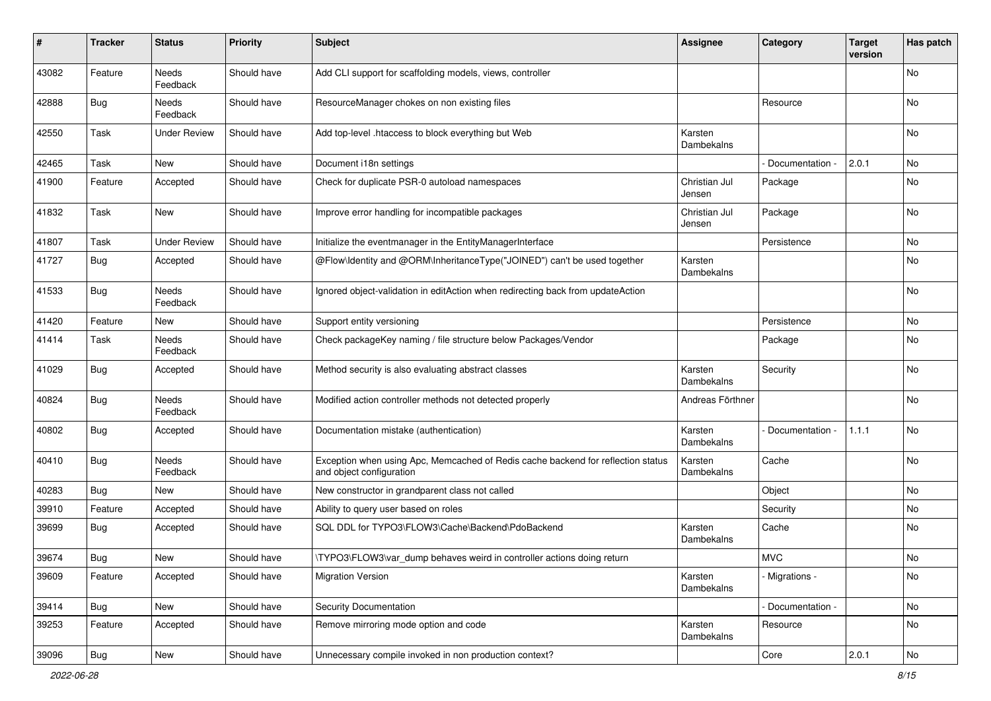| $\sharp$ | Tracker    | <b>Status</b>       | <b>Priority</b> | <b>Subject</b>                                                                                               | <b>Assignee</b>         | Category        | <b>Target</b><br>version | Has patch     |
|----------|------------|---------------------|-----------------|--------------------------------------------------------------------------------------------------------------|-------------------------|-----------------|--------------------------|---------------|
| 43082    | Feature    | Needs<br>Feedback   | Should have     | Add CLI support for scaffolding models, views, controller                                                    |                         |                 |                          | No            |
| 42888    | Bug        | Needs<br>Feedback   | Should have     | ResourceManager chokes on non existing files                                                                 |                         | Resource        |                          | No            |
| 42550    | Task       | <b>Under Review</b> | Should have     | Add top-level .htaccess to block everything but Web                                                          | Karsten<br>Dambekalns   |                 |                          | No            |
| 42465    | Task       | New                 | Should have     | Document i18n settings                                                                                       |                         | Documentation - | 2.0.1                    | No            |
| 41900    | Feature    | Accepted            | Should have     | Check for duplicate PSR-0 autoload namespaces                                                                | Christian Jul<br>Jensen | Package         |                          | No            |
| 41832    | Task       | New                 | Should have     | Improve error handling for incompatible packages                                                             | Christian Jul<br>Jensen | Package         |                          | No            |
| 41807    | Task       | <b>Under Review</b> | Should have     | Initialize the eventmanager in the EntityManagerInterface                                                    |                         | Persistence     |                          | No            |
| 41727    | Bug        | Accepted            | Should have     | @Flow\Identity and @ORM\InheritanceType("JOINED") can't be used together                                     | Karsten<br>Dambekalns   |                 |                          | No            |
| 41533    | Bug        | Needs<br>Feedback   | Should have     | Ignored object-validation in editAction when redirecting back from updateAction                              |                         |                 |                          | No            |
| 41420    | Feature    | New                 | Should have     | Support entity versioning                                                                                    |                         | Persistence     |                          | No            |
| 41414    | Task       | Needs<br>Feedback   | Should have     | Check packageKey naming / file structure below Packages/Vendor                                               |                         | Package         |                          | No            |
| 41029    | <b>Bug</b> | Accepted            | Should have     | Method security is also evaluating abstract classes                                                          | Karsten<br>Dambekalns   | Security        |                          | No            |
| 40824    | Bug        | Needs<br>Feedback   | Should have     | Modified action controller methods not detected properly                                                     | Andreas Förthner        |                 |                          | No            |
| 40802    | Bug        | Accepted            | Should have     | Documentation mistake (authentication)                                                                       | Karsten<br>Dambekalns   | Documentation   | 1.1.1                    | No            |
| 40410    | Bug        | Needs<br>Feedback   | Should have     | Exception when using Apc, Memcached of Redis cache backend for reflection status<br>and object configuration | Karsten<br>Dambekalns   | Cache           |                          | No            |
| 40283    | Bug        | New                 | Should have     | New constructor in grandparent class not called                                                              |                         | Object          |                          | No            |
| 39910    | Feature    | Accepted            | Should have     | Ability to query user based on roles                                                                         |                         | Security        |                          | No            |
| 39699    | Bug        | Accepted            | Should have     | SQL DDL for TYPO3\FLOW3\Cache\Backend\PdoBackend                                                             | Karsten<br>Dambekalns   | Cache           |                          | No            |
| 39674    | Bug        | New                 | Should have     | \TYPO3\FLOW3\var_dump behaves weird in controller actions doing return                                       |                         | <b>MVC</b>      |                          | No            |
| 39609    | Feature    | Accepted            | Should have     | <b>Migration Version</b>                                                                                     | Karsten<br>Dambekalns   | - Migrations -  |                          | No            |
| 39414    | Bug        | New                 | Should have     | Security Documentation                                                                                       |                         | Documentation - |                          | No            |
| 39253    | Feature    | Accepted            | Should have     | Remove mirroring mode option and code                                                                        | Karsten<br>Dambekalns   | Resource        |                          | No            |
| 39096    | Bug        | New                 | Should have     | Unnecessary compile invoked in non production context?                                                       |                         | Core            | 2.0.1                    | $\mathsf{No}$ |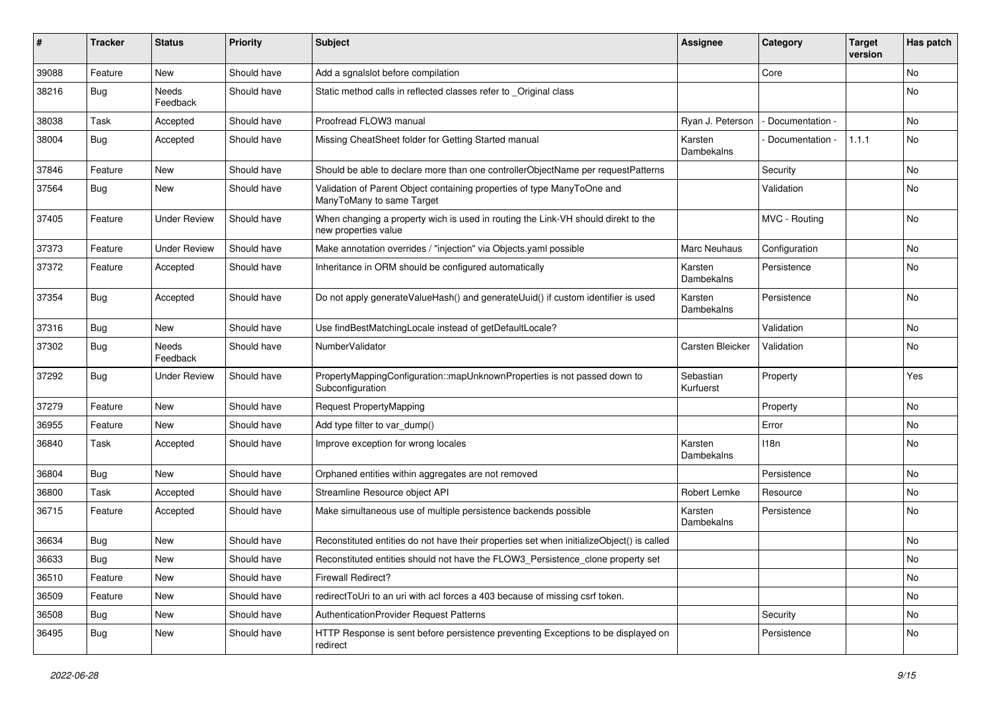| ∦     | <b>Tracker</b> | <b>Status</b>       | <b>Priority</b> | <b>Subject</b>                                                                                            | <b>Assignee</b>        | Category        | <b>Target</b><br>version | Has patch |
|-------|----------------|---------------------|-----------------|-----------------------------------------------------------------------------------------------------------|------------------------|-----------------|--------------------------|-----------|
| 39088 | Feature        | New                 | Should have     | Add a sgnalslot before compilation                                                                        |                        | Core            |                          | No        |
| 38216 | <b>Bug</b>     | Needs<br>Feedback   | Should have     | Static method calls in reflected classes refer to _Original class                                         |                        |                 |                          | No        |
| 38038 | Task           | Accepted            | Should have     | Proofread FLOW3 manual                                                                                    | Ryan J. Peterson       | Documentation - |                          | <b>No</b> |
| 38004 | <b>Bug</b>     | Accepted            | Should have     | Missing CheatSheet folder for Getting Started manual                                                      | Karsten<br>Dambekalns  | Documentation - | 1.1.1                    | No        |
| 37846 | Feature        | New                 | Should have     | Should be able to declare more than one controllerObjectName per requestPatterns                          |                        | Security        |                          | No        |
| 37564 | <b>Bug</b>     | New                 | Should have     | Validation of Parent Object containing properties of type ManyToOne and<br>ManyToMany to same Target      |                        | Validation      |                          | <b>No</b> |
| 37405 | Feature        | <b>Under Review</b> | Should have     | When changing a property wich is used in routing the Link-VH should direkt to the<br>new properties value |                        | MVC - Routing   |                          | <b>No</b> |
| 37373 | Feature        | <b>Under Review</b> | Should have     | Make annotation overrides / "injection" via Objects.yaml possible                                         | Marc Neuhaus           | Configuration   |                          | No        |
| 37372 | Feature        | Accepted            | Should have     | Inheritance in ORM should be configured automatically                                                     | Karsten<br>Dambekalns  | Persistence     |                          | <b>No</b> |
| 37354 | <b>Bug</b>     | Accepted            | Should have     | Do not apply generateValueHash() and generateUuid() if custom identifier is used                          | Karsten<br>Dambekalns  | Persistence     |                          | <b>No</b> |
| 37316 | <b>Bug</b>     | New                 | Should have     | Use findBestMatchingLocale instead of getDefaultLocale?                                                   |                        | Validation      |                          | <b>No</b> |
| 37302 | <b>Bug</b>     | Needs<br>Feedback   | Should have     | NumberValidator                                                                                           | Carsten Bleicker       | Validation      |                          | No        |
| 37292 | <b>Bug</b>     | <b>Under Review</b> | Should have     | PropertyMappingConfiguration::mapUnknownProperties is not passed down to<br>Subconfiguration              | Sebastian<br>Kurfuerst | Property        |                          | Yes       |
| 37279 | Feature        | New                 | Should have     | <b>Request PropertyMapping</b>                                                                            |                        | Property        |                          | No        |
| 36955 | Feature        | <b>New</b>          | Should have     | Add type filter to var_dump()                                                                             |                        | Error           |                          | <b>No</b> |
| 36840 | Task           | Accepted            | Should have     | Improve exception for wrong locales                                                                       | Karsten<br>Dambekalns  | 118n            |                          | No        |
| 36804 | <b>Bug</b>     | New                 | Should have     | Orphaned entities within aggregates are not removed                                                       |                        | Persistence     |                          | No        |
| 36800 | Task           | Accepted            | Should have     | Streamline Resource object API                                                                            | Robert Lemke           | Resource        |                          | No        |
| 36715 | Feature        | Accepted            | Should have     | Make simultaneous use of multiple persistence backends possible                                           | Karsten<br>Dambekalns  | Persistence     |                          | No        |
| 36634 | <b>Bug</b>     | New                 | Should have     | Reconstituted entities do not have their properties set when initializeObject() is called                 |                        |                 |                          | No        |
| 36633 | <b>Bug</b>     | New                 | Should have     | Reconstituted entities should not have the FLOW3_Persistence_clone property set                           |                        |                 |                          | No        |
| 36510 | Feature        | New                 | Should have     | Firewall Redirect?                                                                                        |                        |                 |                          | No        |
| 36509 | Feature        | New                 | Should have     | redirectToUri to an uri with acl forces a 403 because of missing csrf token.                              |                        |                 |                          | No        |
| 36508 | Bug            | New                 | Should have     | AuthenticationProvider Request Patterns                                                                   |                        | Security        |                          | No        |
| 36495 | <b>Bug</b>     | New                 | Should have     | HTTP Response is sent before persistence preventing Exceptions to be displayed on<br>redirect             |                        | Persistence     |                          | No        |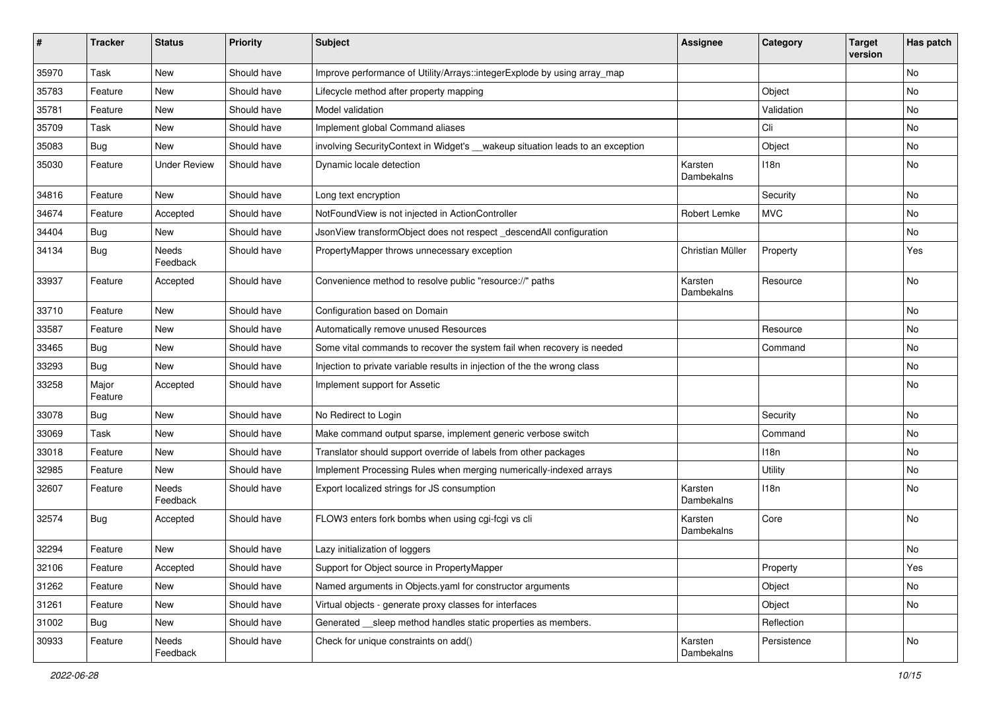| ∦     | <b>Tracker</b>   | <b>Status</b>       | <b>Priority</b> | <b>Subject</b>                                                                  | <b>Assignee</b>       | Category    | <b>Target</b><br>version | Has patch |
|-------|------------------|---------------------|-----------------|---------------------------------------------------------------------------------|-----------------------|-------------|--------------------------|-----------|
| 35970 | Task             | New                 | Should have     | Improve performance of Utility/Arrays::integerExplode by using array_map        |                       |             |                          | No        |
| 35783 | Feature          | New                 | Should have     | Lifecycle method after property mapping                                         |                       | Object      |                          | No        |
| 35781 | Feature          | New                 | Should have     | Model validation                                                                |                       | Validation  |                          | No        |
| 35709 | Task             | <b>New</b>          | Should have     | Implement global Command aliases                                                |                       | Cli         |                          | <b>No</b> |
| 35083 | <b>Bug</b>       | New                 | Should have     | involving Security Context in Widget's __wakeup situation leads to an exception |                       | Object      |                          | No        |
| 35030 | Feature          | <b>Under Review</b> | Should have     | Dynamic locale detection                                                        | Karsten<br>Dambekalns | 118n        |                          | No        |
| 34816 | Feature          | New                 | Should have     | Long text encryption                                                            |                       | Security    |                          | <b>No</b> |
| 34674 | Feature          | Accepted            | Should have     | NotFoundView is not injected in ActionController                                | Robert Lemke          | <b>MVC</b>  |                          | No        |
| 34404 | <b>Bug</b>       | New                 | Should have     | JsonView transformObject does not respect_descendAll configuration              |                       |             |                          | No        |
| 34134 | <b>Bug</b>       | Needs<br>Feedback   | Should have     | PropertyMapper throws unnecessary exception                                     | Christian Müller      | Property    |                          | Yes       |
| 33937 | Feature          | Accepted            | Should have     | Convenience method to resolve public "resource://" paths                        | Karsten<br>Dambekalns | Resource    |                          | <b>No</b> |
| 33710 | Feature          | New                 | Should have     | Configuration based on Domain                                                   |                       |             |                          | No        |
| 33587 | Feature          | New                 | Should have     | Automatically remove unused Resources                                           |                       | Resource    |                          | No        |
| 33465 | <b>Bug</b>       | New                 | Should have     | Some vital commands to recover the system fail when recovery is needed          |                       | Command     |                          | No        |
| 33293 | <b>Bug</b>       | <b>New</b>          | Should have     | Injection to private variable results in injection of the the wrong class       |                       |             |                          | No        |
| 33258 | Major<br>Feature | Accepted            | Should have     | Implement support for Assetic                                                   |                       |             |                          | <b>No</b> |
| 33078 | <b>Bug</b>       | New                 | Should have     | No Redirect to Login                                                            |                       | Security    |                          | No        |
| 33069 | Task             | New                 | Should have     | Make command output sparse, implement generic verbose switch                    |                       | Command     |                          | <b>No</b> |
| 33018 | Feature          | New                 | Should have     | Translator should support override of labels from other packages                |                       | 118n        |                          | No        |
| 32985 | Feature          | New                 | Should have     | Implement Processing Rules when merging numerically-indexed arrays              |                       | Utility     |                          | No        |
| 32607 | Feature          | Needs<br>Feedback   | Should have     | Export localized strings for JS consumption                                     | Karsten<br>Dambekalns | 118n        |                          | No        |
| 32574 | <b>Bug</b>       | Accepted            | Should have     | FLOW3 enters fork bombs when using cgi-fcgi vs cli                              | Karsten<br>Dambekalns | Core        |                          | <b>No</b> |
| 32294 | Feature          | New                 | Should have     | Lazy initialization of loggers                                                  |                       |             |                          | No        |
| 32106 | Feature          | Accepted            | Should have     | Support for Object source in PropertyMapper                                     |                       | Property    |                          | Yes       |
| 31262 | Feature          | New                 | Should have     | Named arguments in Objects.yaml for constructor arguments                       |                       | Object      |                          | No        |
| 31261 | Feature          | New                 | Should have     | Virtual objects - generate proxy classes for interfaces                         |                       | Object      |                          | No        |
| 31002 | Bug              | New                 | Should have     | Generated __sleep method handles static properties as members.                  |                       | Reflection  |                          |           |
| 30933 | Feature          | Needs<br>Feedback   | Should have     | Check for unique constraints on add()                                           | Karsten<br>Dambekalns | Persistence |                          | No        |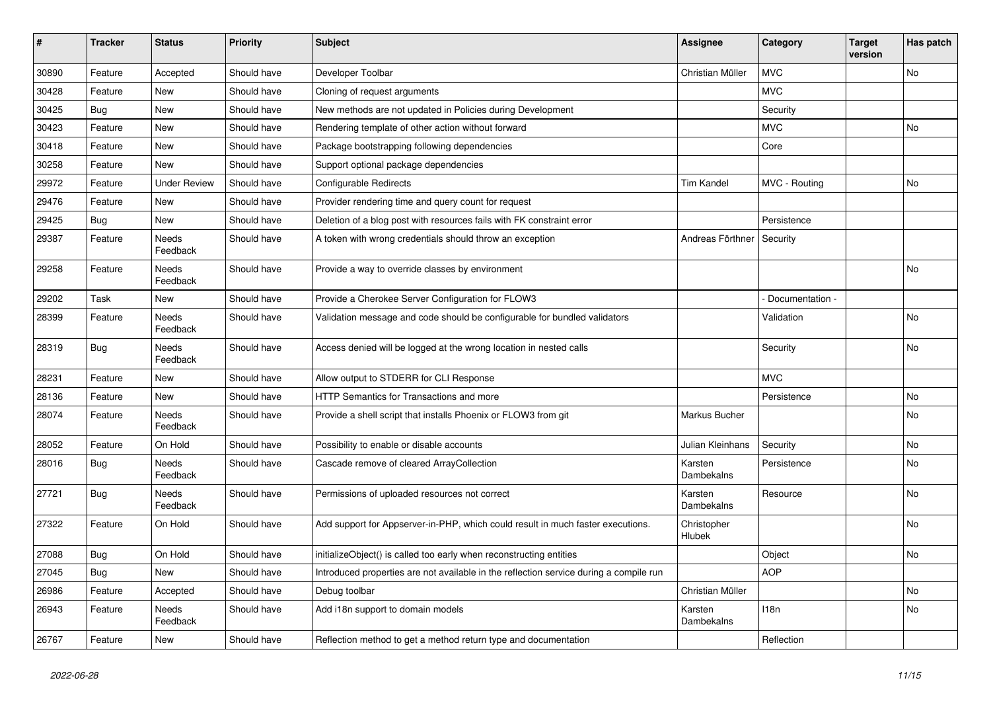| $\sharp$ | <b>Tracker</b> | <b>Status</b>            | <b>Priority</b> | <b>Subject</b>                                                                         | <b>Assignee</b>       | Category         | <b>Target</b><br>version | Has patch |
|----------|----------------|--------------------------|-----------------|----------------------------------------------------------------------------------------|-----------------------|------------------|--------------------------|-----------|
| 30890    | Feature        | Accepted                 | Should have     | Developer Toolbar                                                                      | Christian Müller      | <b>MVC</b>       |                          | <b>No</b> |
| 30428    | Feature        | <b>New</b>               | Should have     | Cloning of request arguments                                                           |                       | <b>MVC</b>       |                          |           |
| 30425    | Bug            | <b>New</b>               | Should have     | New methods are not updated in Policies during Development                             |                       | Security         |                          |           |
| 30423    | Feature        | <b>New</b>               | Should have     | Rendering template of other action without forward                                     |                       | <b>MVC</b>       |                          | <b>No</b> |
| 30418    | Feature        | <b>New</b>               | Should have     | Package bootstrapping following dependencies                                           |                       | Core             |                          |           |
| 30258    | Feature        | <b>New</b>               | Should have     | Support optional package dependencies                                                  |                       |                  |                          |           |
| 29972    | Feature        | <b>Under Review</b>      | Should have     | Configurable Redirects                                                                 | <b>Tim Kandel</b>     | MVC - Routing    |                          | <b>No</b> |
| 29476    | Feature        | New                      | Should have     | Provider rendering time and query count for request                                    |                       |                  |                          |           |
| 29425    | <b>Bug</b>     | <b>New</b>               | Should have     | Deletion of a blog post with resources fails with FK constraint error                  |                       | Persistence      |                          |           |
| 29387    | Feature        | Needs<br>Feedback        | Should have     | A token with wrong credentials should throw an exception                               | Andreas Förthner      | Security         |                          |           |
| 29258    | Feature        | Needs<br>Feedback        | Should have     | Provide a way to override classes by environment                                       |                       |                  |                          | <b>No</b> |
| 29202    | Task           | <b>New</b>               | Should have     | Provide a Cherokee Server Configuration for FLOW3                                      |                       | Documentation -  |                          |           |
| 28399    | Feature        | Needs<br>Feedback        | Should have     | Validation message and code should be configurable for bundled validators              |                       | Validation       |                          | <b>No</b> |
| 28319    | <b>Bug</b>     | Needs<br>Feedback        | Should have     | Access denied will be logged at the wrong location in nested calls                     |                       | Security         |                          | No        |
| 28231    | Feature        | <b>New</b>               | Should have     | Allow output to STDERR for CLI Response                                                |                       | <b>MVC</b>       |                          |           |
| 28136    | Feature        | New                      | Should have     | HTTP Semantics for Transactions and more                                               |                       | Persistence      |                          | <b>No</b> |
| 28074    | Feature        | <b>Needs</b><br>Feedback | Should have     | Provide a shell script that installs Phoenix or FLOW3 from git                         | Markus Bucher         |                  |                          | <b>No</b> |
| 28052    | Feature        | On Hold                  | Should have     | Possibility to enable or disable accounts                                              | Julian Kleinhans      | Security         |                          | <b>No</b> |
| 28016    | <b>Bug</b>     | Needs<br>Feedback        | Should have     | Cascade remove of cleared ArrayCollection                                              | Karsten<br>Dambekalns | Persistence      |                          | No        |
| 27721    | Bug            | <b>Needs</b><br>Feedback | Should have     | Permissions of uploaded resources not correct                                          | Karsten<br>Dambekalns | Resource         |                          | <b>No</b> |
| 27322    | Feature        | On Hold                  | Should have     | Add support for Appserver-in-PHP, which could result in much faster executions.        | Christopher<br>Hlubek |                  |                          | No        |
| 27088    | Bug            | On Hold                  | Should have     | initializeObject() is called too early when reconstructing entities                    |                       | Object           |                          | <b>No</b> |
| 27045    | Bug            | <b>New</b>               | Should have     | Introduced properties are not available in the reflection service during a compile run |                       | <b>AOP</b>       |                          |           |
| 26986    | Feature        | Accepted                 | Should have     | Debug toolbar                                                                          | Christian Müller      |                  |                          | <b>No</b> |
| 26943    | Feature        | Needs<br>Feedback        | Should have     | Add i18n support to domain models                                                      | Karsten<br>Dambekalns | 118 <sub>n</sub> |                          | <b>No</b> |
| 26767    | Feature        | <b>New</b>               | Should have     | Reflection method to get a method return type and documentation                        |                       | Reflection       |                          |           |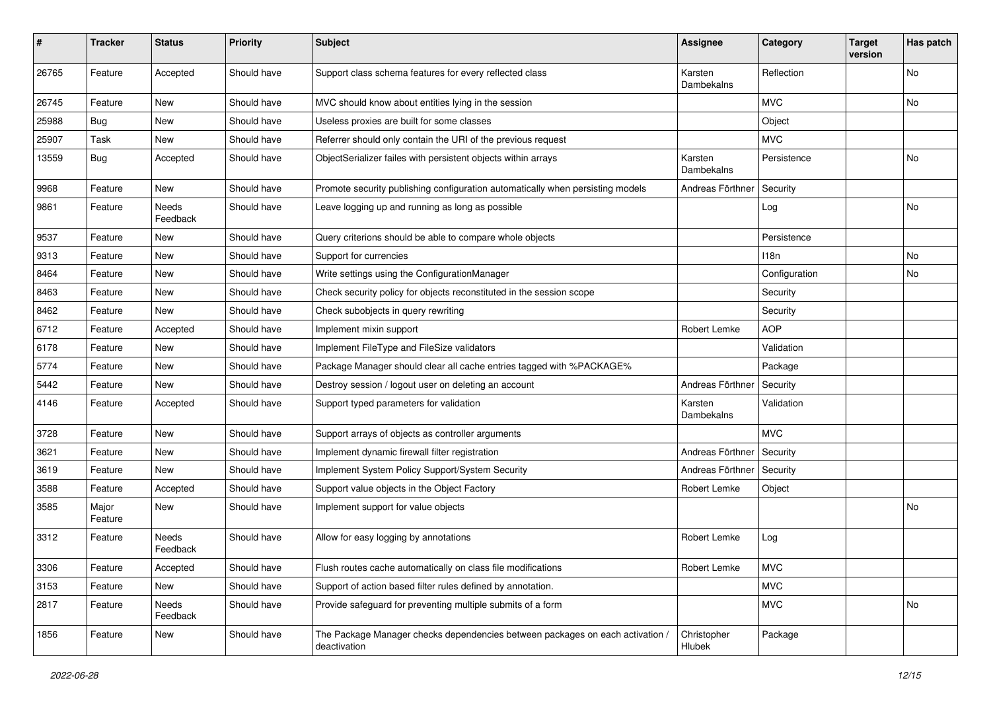| #     | <b>Tracker</b>   | <b>Status</b>     | <b>Priority</b> | <b>Subject</b>                                                                                | Assignee              | Category         | <b>Target</b><br>version | Has patch |
|-------|------------------|-------------------|-----------------|-----------------------------------------------------------------------------------------------|-----------------------|------------------|--------------------------|-----------|
| 26765 | Feature          | Accepted          | Should have     | Support class schema features for every reflected class                                       | Karsten<br>Dambekalns | Reflection       |                          | No        |
| 26745 | Feature          | New               | Should have     | MVC should know about entities lying in the session                                           |                       | <b>MVC</b>       |                          | No        |
| 25988 | Bug              | <b>New</b>        | Should have     | Useless proxies are built for some classes                                                    |                       | Object           |                          |           |
| 25907 | Task             | New               | Should have     | Referrer should only contain the URI of the previous request                                  |                       | <b>MVC</b>       |                          |           |
| 13559 | <b>Bug</b>       | Accepted          | Should have     | ObjectSerializer failes with persistent objects within arrays                                 | Karsten<br>Dambekalns | Persistence      |                          | No        |
| 9968  | Feature          | <b>New</b>        | Should have     | Promote security publishing configuration automatically when persisting models                | Andreas Förthner      | Security         |                          |           |
| 9861  | Feature          | Needs<br>Feedback | Should have     | Leave logging up and running as long as possible                                              |                       | Log              |                          | No        |
| 9537  | Feature          | New               | Should have     | Query criterions should be able to compare whole objects                                      |                       | Persistence      |                          |           |
| 9313  | Feature          | New               | Should have     | Support for currencies                                                                        |                       | 118 <sub>n</sub> |                          | No        |
| 8464  | Feature          | New               | Should have     | Write settings using the ConfigurationManager                                                 |                       | Configuration    |                          | No        |
| 8463  | Feature          | New               | Should have     | Check security policy for objects reconstituted in the session scope                          |                       | Security         |                          |           |
| 8462  | Feature          | New               | Should have     | Check subobjects in query rewriting                                                           |                       | Security         |                          |           |
| 6712  | Feature          | Accepted          | Should have     | Implement mixin support                                                                       | Robert Lemke          | <b>AOP</b>       |                          |           |
| 6178  | Feature          | New               | Should have     | Implement FileType and FileSize validators                                                    |                       | Validation       |                          |           |
| 5774  | Feature          | New               | Should have     | Package Manager should clear all cache entries tagged with %PACKAGE%                          |                       | Package          |                          |           |
| 5442  | Feature          | New               | Should have     | Destroy session / logout user on deleting an account                                          | Andreas Förthner      | Security         |                          |           |
| 4146  | Feature          | Accepted          | Should have     | Support typed parameters for validation                                                       | Karsten<br>Dambekalns | Validation       |                          |           |
| 3728  | Feature          | <b>New</b>        | Should have     | Support arrays of objects as controller arguments                                             |                       | <b>MVC</b>       |                          |           |
| 3621  | Feature          | New               | Should have     | Implement dynamic firewall filter registration                                                | Andreas Förthner      | Security         |                          |           |
| 3619  | Feature          | New               | Should have     | Implement System Policy Support/System Security                                               | Andreas Förthner      | Security         |                          |           |
| 3588  | Feature          | Accepted          | Should have     | Support value objects in the Object Factory                                                   | Robert Lemke          | Object           |                          |           |
| 3585  | Major<br>Feature | New               | Should have     | Implement support for value objects                                                           |                       |                  |                          | No        |
| 3312  | Feature          | Needs<br>Feedback | Should have     | Allow for easy logging by annotations                                                         | Robert Lemke          | Log              |                          |           |
| 3306  | Feature          | Accepted          | Should have     | Flush routes cache automatically on class file modifications                                  | Robert Lemke          | <b>MVC</b>       |                          |           |
| 3153  | Feature          | New               | Should have     | Support of action based filter rules defined by annotation.                                   |                       | <b>MVC</b>       |                          |           |
| 2817  | Feature          | Needs<br>Feedback | Should have     | Provide safeguard for preventing multiple submits of a form                                   |                       | <b>MVC</b>       |                          | No        |
| 1856  | Feature          | New               | Should have     | The Package Manager checks dependencies between packages on each activation /<br>deactivation | Christopher<br>Hlubek | Package          |                          |           |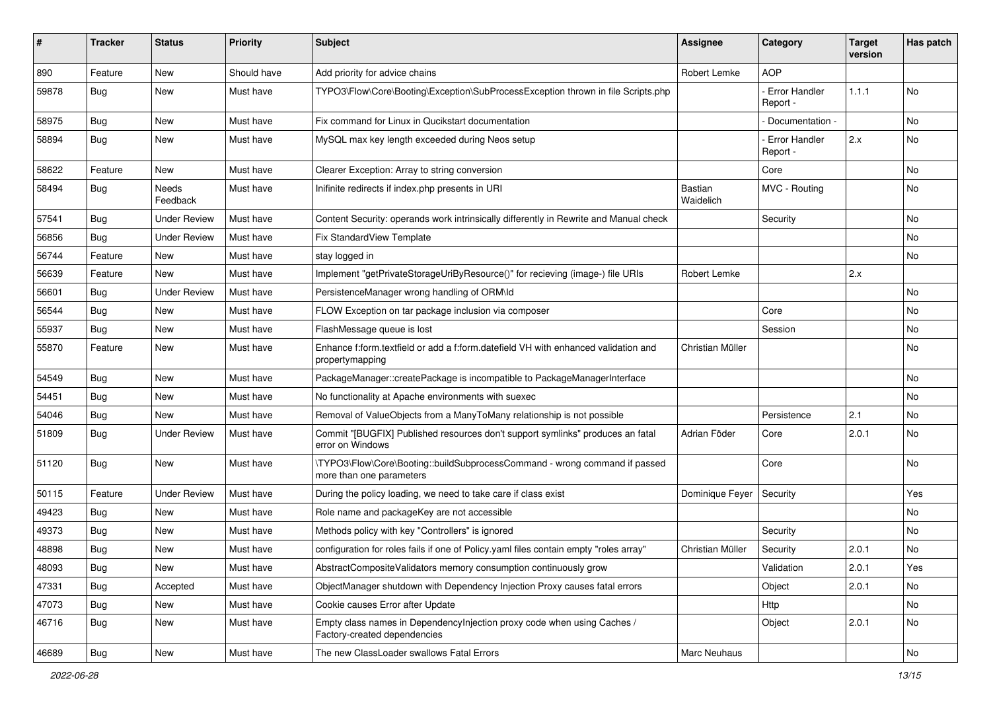| ∦     | <b>Tracker</b> | <b>Status</b>       | <b>Priority</b> | <b>Subject</b>                                                                                          | <b>Assignee</b>      | Category                         | <b>Target</b><br>version | Has patch |
|-------|----------------|---------------------|-----------------|---------------------------------------------------------------------------------------------------------|----------------------|----------------------------------|--------------------------|-----------|
| 890   | Feature        | New                 | Should have     | Add priority for advice chains                                                                          | Robert Lemke         | <b>AOP</b>                       |                          |           |
| 59878 | Bug            | New                 | Must have       | TYPO3\Flow\Core\Booting\Exception\SubProcessException thrown in file Scripts.php                        |                      | Error Handler<br>Report -        | 1.1.1                    | No        |
| 58975 | Bug            | <b>New</b>          | Must have       | Fix command for Linux in Qucikstart documentation                                                       |                      | Documentation -                  |                          | <b>No</b> |
| 58894 | <b>Bug</b>     | New                 | Must have       | MySQL max key length exceeded during Neos setup                                                         |                      | <b>Error Handler</b><br>Report - | 2.x                      | No        |
| 58622 | Feature        | New                 | Must have       | Clearer Exception: Array to string conversion                                                           |                      | Core                             |                          | No        |
| 58494 | <b>Bug</b>     | Needs<br>Feedback   | Must have       | Inifinite redirects if index.php presents in URI                                                        | Bastian<br>Waidelich | MVC - Routing                    |                          | No        |
| 57541 | <b>Bug</b>     | <b>Under Review</b> | Must have       | Content Security: operands work intrinsically differently in Rewrite and Manual check                   |                      | Security                         |                          | <b>No</b> |
| 56856 | <b>Bug</b>     | <b>Under Review</b> | Must have       | <b>Fix StandardView Template</b>                                                                        |                      |                                  |                          | No        |
| 56744 | Feature        | <b>New</b>          | Must have       | stay logged in                                                                                          |                      |                                  |                          | No        |
| 56639 | Feature        | New                 | Must have       | Implement "getPrivateStorageUriByResource()" for recieving (image-) file URIs                           | Robert Lemke         |                                  | 2.x                      |           |
| 56601 | Bug            | <b>Under Review</b> | Must have       | PersistenceManager wrong handling of ORM\ld                                                             |                      |                                  |                          | <b>No</b> |
| 56544 | <b>Bug</b>     | New                 | Must have       | FLOW Exception on tar package inclusion via composer                                                    |                      | Core                             |                          | No        |
| 55937 | <b>Bug</b>     | New                 | Must have       | FlashMessage queue is lost                                                                              |                      | Session                          |                          | No        |
| 55870 | Feature        | New                 | Must have       | Enhance f:form.textfield or add a f:form.datefield VH with enhanced validation and<br>propertymapping   | Christian Müller     |                                  |                          | No        |
| 54549 | Bug            | New                 | Must have       | PackageManager::createPackage is incompatible to PackageManagerInterface                                |                      |                                  |                          | No        |
| 54451 | Bug            | <b>New</b>          | Must have       | No functionality at Apache environments with suexec                                                     |                      |                                  |                          | No        |
| 54046 | <b>Bug</b>     | New                 | Must have       | Removal of ValueObjects from a ManyToMany relationship is not possible                                  |                      | Persistence                      | 2.1                      | No        |
| 51809 | <b>Bug</b>     | <b>Under Review</b> | Must have       | Commit "[BUGFIX] Published resources don't support symlinks" produces an fatal<br>error on Windows      | Adrian Föder         | Core                             | 2.0.1                    | <b>No</b> |
| 51120 | Bug            | <b>New</b>          | Must have       | \TYPO3\Flow\Core\Booting::buildSubprocessCommand - wrong command if passed<br>more than one parameters  |                      | Core                             |                          | <b>No</b> |
| 50115 | Feature        | <b>Under Review</b> | Must have       | During the policy loading, we need to take care if class exist                                          | Dominique Feyer      | Security                         |                          | Yes       |
| 49423 | Bug            | New                 | Must have       | Role name and packageKey are not accessible                                                             |                      |                                  |                          | No        |
| 49373 | <b>Bug</b>     | New                 | Must have       | Methods policy with key "Controllers" is ignored                                                        |                      | Security                         |                          | No        |
| 48898 | Bug            | New                 | Must have       | configuration for roles fails if one of Policy yaml files contain empty "roles array"                   | Christian Müller     | Security                         | 2.0.1                    | No        |
| 48093 | <b>Bug</b>     | New                 | Must have       | AbstractCompositeValidators memory consumption continuously grow                                        |                      | Validation                       | 2.0.1                    | Yes       |
| 47331 | <b>Bug</b>     | Accepted            | Must have       | ObjectManager shutdown with Dependency Injection Proxy causes fatal errors                              |                      | Object                           | 2.0.1                    | No        |
| 47073 | <b>Bug</b>     | New                 | Must have       | Cookie causes Error after Update                                                                        |                      | Http                             |                          | No        |
| 46716 | <b>Bug</b>     | New                 | Must have       | Empty class names in DependencyInjection proxy code when using Caches /<br>Factory-created dependencies |                      | Object                           | 2.0.1                    | No        |
| 46689 | i Bug          | New                 | Must have       | The new ClassLoader swallows Fatal Errors                                                               | Marc Neuhaus         |                                  |                          | No        |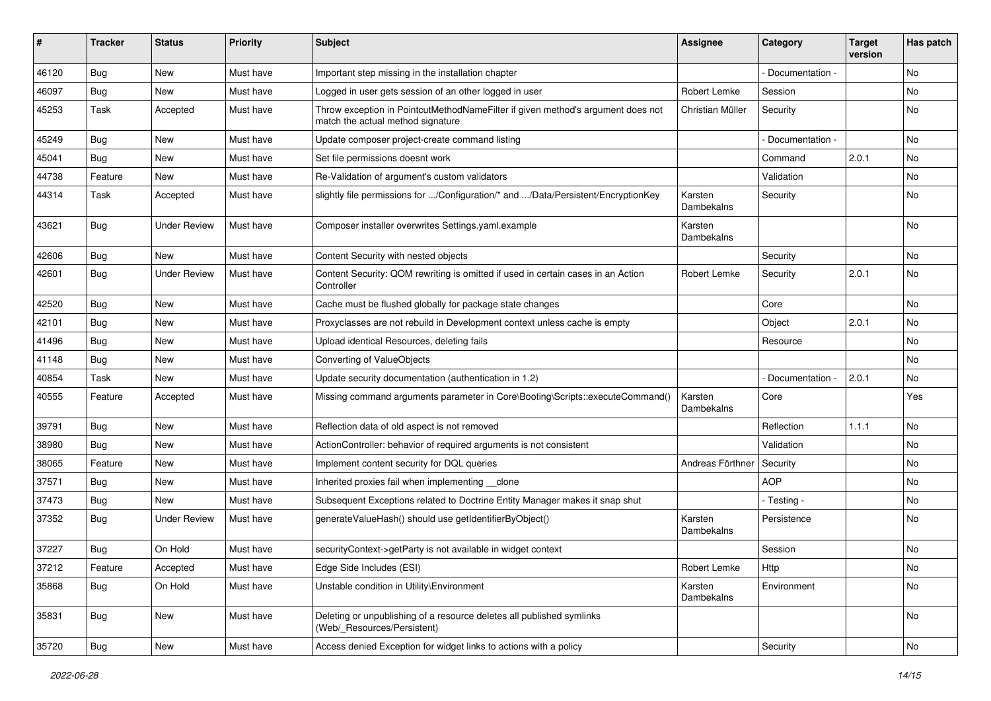| ∦     | <b>Tracker</b> | <b>Status</b>       | <b>Priority</b> | <b>Subject</b>                                                                                                       | <b>Assignee</b>       | Category        | <b>Target</b><br>version | Has patch |
|-------|----------------|---------------------|-----------------|----------------------------------------------------------------------------------------------------------------------|-----------------------|-----------------|--------------------------|-----------|
| 46120 | Bug            | New                 | Must have       | Important step missing in the installation chapter                                                                   |                       | Documentation - |                          | <b>No</b> |
| 46097 | <b>Bug</b>     | <b>New</b>          | Must have       | Logged in user gets session of an other logged in user                                                               | Robert Lemke          | Session         |                          | No.       |
| 45253 | Task           | Accepted            | Must have       | Throw exception in PointcutMethodNameFilter if given method's argument does not<br>match the actual method signature | Christian Müller      | Security        |                          | No        |
| 45249 | Bug            | <b>New</b>          | Must have       | Update composer project-create command listing                                                                       |                       | Documentation - |                          | <b>No</b> |
| 45041 | <b>Bug</b>     | <b>New</b>          | Must have       | Set file permissions doesnt work                                                                                     |                       | Command         | 2.0.1                    | <b>No</b> |
| 44738 | Feature        | New                 | Must have       | Re-Validation of argument's custom validators                                                                        |                       | Validation      |                          | No        |
| 44314 | Task           | Accepted            | Must have       | slightly file permissions for /Configuration/* and /Data/Persistent/EncryptionKey                                    | Karsten<br>Dambekalns | Security        |                          | No        |
| 43621 | Bug            | <b>Under Review</b> | Must have       | Composer installer overwrites Settings.yaml.example                                                                  | Karsten<br>Dambekalns |                 |                          | <b>No</b> |
| 42606 | Bug            | <b>New</b>          | Must have       | Content Security with nested objects                                                                                 |                       | Security        |                          | No        |
| 42601 | <b>Bug</b>     | <b>Under Review</b> | Must have       | Content Security: QOM rewriting is omitted if used in certain cases in an Action<br>Controller                       | Robert Lemke          | Security        | 2.0.1                    | <b>No</b> |
| 42520 | Bug            | <b>New</b>          | Must have       | Cache must be flushed globally for package state changes                                                             |                       | Core            |                          | <b>No</b> |
| 42101 | <b>Bug</b>     | New                 | Must have       | Proxyclasses are not rebuild in Development context unless cache is empty                                            |                       | Object          | 2.0.1                    | No        |
| 41496 | Bug            | <b>New</b>          | Must have       | Upload identical Resources, deleting fails                                                                           |                       | Resource        |                          | <b>No</b> |
| 41148 | Bug            | New                 | Must have       | Converting of ValueObjects                                                                                           |                       |                 |                          | No        |
| 40854 | Task           | New                 | Must have       | Update security documentation (authentication in 1.2)                                                                |                       | Documentation - | 2.0.1                    | No        |
| 40555 | Feature        | Accepted            | Must have       | Missing command arguments parameter in Core\Booting\Scripts::executeCommand()                                        | Karsten<br>Dambekalns | Core            |                          | Yes       |
| 39791 | <b>Bug</b>     | New                 | Must have       | Reflection data of old aspect is not removed                                                                         |                       | Reflection      | 1.1.1                    | No        |
| 38980 | Bug            | New                 | Must have       | ActionController: behavior of required arguments is not consistent                                                   |                       | Validation      |                          | No        |
| 38065 | Feature        | New                 | Must have       | Implement content security for DQL queries                                                                           | Andreas Förthner      | Security        |                          | No        |
| 37571 | Bug            | New                 | Must have       | Inherited proxies fail when implementing clone                                                                       |                       | <b>AOP</b>      |                          | No        |
| 37473 | <b>Bug</b>     | <b>New</b>          | Must have       | Subsequent Exceptions related to Doctrine Entity Manager makes it snap shut                                          |                       | - Testing -     |                          | No.       |
| 37352 | Bug            | <b>Under Review</b> | Must have       | generateValueHash() should use getIdentifierByObject()                                                               | Karsten<br>Dambekalns | Persistence     |                          | No        |
| 37227 | Bug            | On Hold             | Must have       | securityContext->getParty is not available in widget context                                                         |                       | Session         |                          | No        |
| 37212 | Feature        | Accepted            | Must have       | Edge Side Includes (ESI)                                                                                             | Robert Lemke          | Http            |                          | No        |
| 35868 | <b>Bug</b>     | On Hold             | Must have       | Unstable condition in Utility\Environment                                                                            | Karsten<br>Dambekalns | Environment     |                          | No        |
| 35831 | <b>Bug</b>     | New                 | Must have       | Deleting or unpublishing of a resource deletes all published symlinks<br>(Web/_Resources/Persistent)                 |                       |                 |                          | No        |
| 35720 | <b>Bug</b>     | New                 | Must have       | Access denied Exception for widget links to actions with a policy                                                    |                       | Security        |                          | No        |